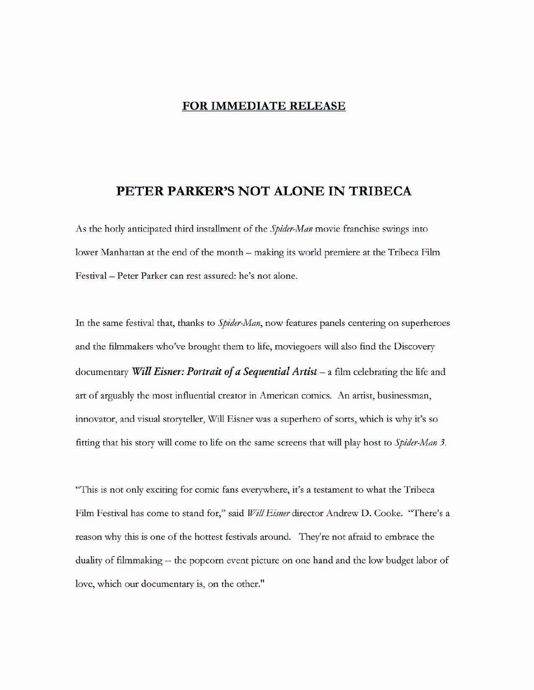## **FOR IMMEDIATE RELEASE**

## PETER PARKER'S NOT ALONE IN TRIBECA

As the hotly anticipated third installment of the Spider-Man movie franchise swings into lower Manhattan at the end of the month - making its world premiere at the Tribeca Film Festival - Peter Parker can rest assured: he's not alone.

In the same festival that, thanks to *Spider-Man*, now features panels centering on superheroes and the filmmakers who've brought them to life, moviegoers will also find the Discovery documentary Will Eisner: Portrait of a Sequential Artist – a film celebrating the life and art of arguably the most influential creator in American comics. An artist, businessman, innovator, and visual storyteller, Will Eisner was a superhero of sorts, which is why it's so fitting that his story will come to life on the same screens that will play host to *Spider-Man 3*.

"This is not only exciting for comic fans everywhere, it's a testament to what the Tribeca Film Festival has come to stand for," said Will Eisner director Andrew D. Cooke. "There's a reason why this is one of the hottest festivals around. They're not afraid to embrace the duality of filmmaking -- the popcorn event picture on one hand and the low budget labor of love, which our documentary is, on the other."